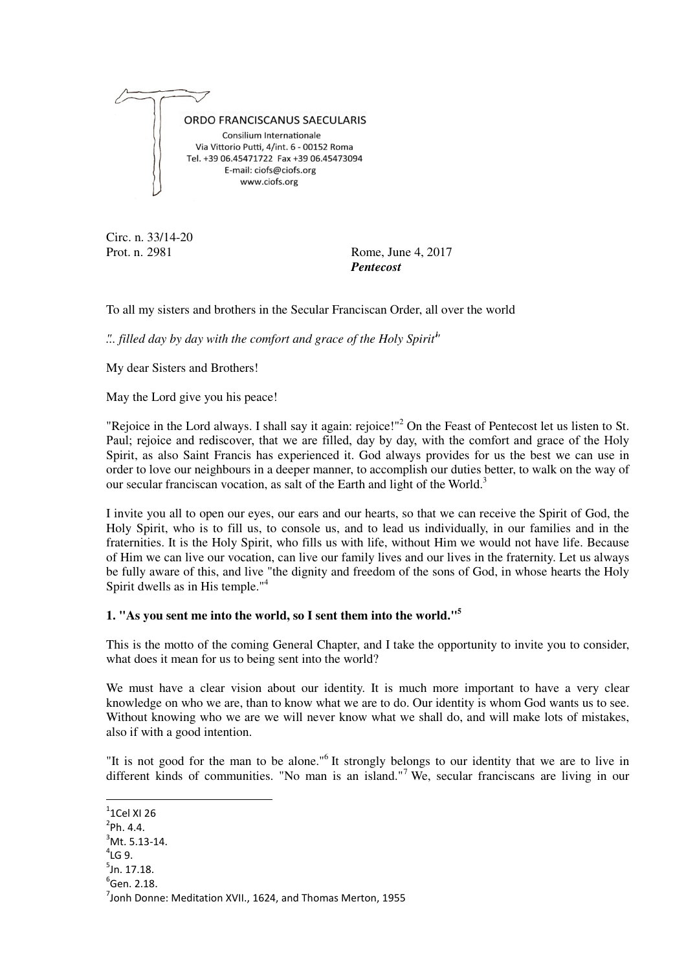

Circ. n. 33/14-20

Prot. n. 2981 Rome, June 4, 2017 *Pentecost* 

To all my sisters and brothers in the Secular Franciscan Order, all over the world

*"... filled day by day with the comfort and grace of the Holy Spirit"<sup>1</sup>*

My dear Sisters and Brothers!

May the Lord give you his peace!

"Rejoice in the Lord always. I shall say it again: rejoice!"<sup>2</sup> On the Feast of Pentecost let us listen to St. Paul; rejoice and rediscover, that we are filled, day by day, with the comfort and grace of the Holy Spirit, as also Saint Francis has experienced it. God always provides for us the best we can use in order to love our neighbours in a deeper manner, to accomplish our duties better, to walk on the way of our secular franciscan vocation, as salt of the Earth and light of the World.<sup>3</sup>

I invite you all to open our eyes, our ears and our hearts, so that we can receive the Spirit of God, the Holy Spirit, who is to fill us, to console us, and to lead us individually, in our families and in the fraternities. It is the Holy Spirit, who fills us with life, without Him we would not have life. Because of Him we can live our vocation, can live our family lives and our lives in the fraternity. Let us always be fully aware of this, and live "the dignity and freedom of the sons of God, in whose hearts the Holy Spirit dwells as in His temple."<sup>4</sup>

#### **1. "As you sent me into the world, so I sent them into the world."<sup>5</sup>**

This is the motto of the coming General Chapter, and I take the opportunity to invite you to consider, what does it mean for us to being sent into the world?

We must have a clear vision about our identity. It is much more important to have a very clear knowledge on who we are, than to know what we are to do. Our identity is whom God wants us to see. Without knowing who we are we will never know what we shall do, and will make lots of mistakes, also if with a good intention.

"It is not good for the man to be alone."<sup>6</sup> It strongly belongs to our identity that we are to live in different kinds of communities. "No man is an island."<sup>7</sup> We, secular franciscans are living in our

- $3$ Mt. 5.13-14.
- $^4$ LG 9.

 $\overline{\phantom{a}}$ 

- $<sup>5</sup>$ Jn. 17.18.</sup>
- $<sup>6</sup>$ Gen. 2.18.</sup>

 $1$ Cel XI 26

 $^{2}$ Ph. 4.4.

 $^7$ Jonh Donne: Meditation XVII., 1624, and Thomas Merton, 1955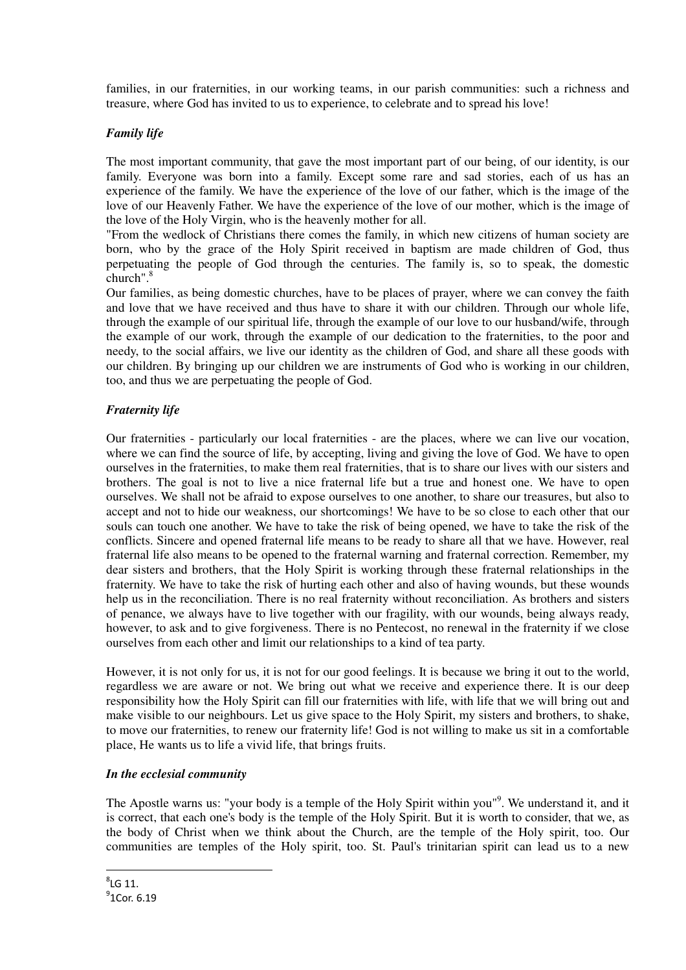families, in our fraternities, in our working teams, in our parish communities: such a richness and treasure, where God has invited to us to experience, to celebrate and to spread his love!

### *Family life*

The most important community, that gave the most important part of our being, of our identity, is our family. Everyone was born into a family. Except some rare and sad stories, each of us has an experience of the family. We have the experience of the love of our father, which is the image of the love of our Heavenly Father. We have the experience of the love of our mother, which is the image of the love of the Holy Virgin, who is the heavenly mother for all.

"From the wedlock of Christians there comes the family, in which new citizens of human society are born, who by the grace of the Holy Spirit received in baptism are made children of God, thus perpetuating the people of God through the centuries. The family is, so to speak, the domestic church".<sup>8</sup>

Our families, as being domestic churches, have to be places of prayer, where we can convey the faith and love that we have received and thus have to share it with our children. Through our whole life, through the example of our spiritual life, through the example of our love to our husband/wife, through the example of our work, through the example of our dedication to the fraternities, to the poor and needy, to the social affairs, we live our identity as the children of God, and share all these goods with our children. By bringing up our children we are instruments of God who is working in our children, too, and thus we are perpetuating the people of God.

## *Fraternity life*

Our fraternities - particularly our local fraternities - are the places, where we can live our vocation, where we can find the source of life, by accepting, living and giving the love of God. We have to open ourselves in the fraternities, to make them real fraternities, that is to share our lives with our sisters and brothers. The goal is not to live a nice fraternal life but a true and honest one. We have to open ourselves. We shall not be afraid to expose ourselves to one another, to share our treasures, but also to accept and not to hide our weakness, our shortcomings! We have to be so close to each other that our souls can touch one another. We have to take the risk of being opened, we have to take the risk of the conflicts. Sincere and opened fraternal life means to be ready to share all that we have. However, real fraternal life also means to be opened to the fraternal warning and fraternal correction. Remember, my dear sisters and brothers, that the Holy Spirit is working through these fraternal relationships in the fraternity. We have to take the risk of hurting each other and also of having wounds, but these wounds help us in the reconciliation. There is no real fraternity without reconciliation. As brothers and sisters of penance, we always have to live together with our fragility, with our wounds, being always ready, however, to ask and to give forgiveness. There is no Pentecost, no renewal in the fraternity if we close ourselves from each other and limit our relationships to a kind of tea party.

However, it is not only for us, it is not for our good feelings. It is because we bring it out to the world, regardless we are aware or not. We bring out what we receive and experience there. It is our deep responsibility how the Holy Spirit can fill our fraternities with life, with life that we will bring out and make visible to our neighbours. Let us give space to the Holy Spirit, my sisters and brothers, to shake, to move our fraternities, to renew our fraternity life! God is not willing to make us sit in a comfortable place, He wants us to life a vivid life, that brings fruits.

#### *In the ecclesial community*

The Apostle warns us: "your body is a temple of the Holy Spirit within you"<sup>9</sup>. We understand it, and it is correct, that each one's body is the temple of the Holy Spirit. But it is worth to consider, that we, as the body of Christ when we think about the Church, are the temple of the Holy spirit, too. Our communities are temples of the Holy spirit, too. St. Paul's trinitarian spirit can lead us to a new

 $\overline{\phantom{a}}$ 

 $^9$ 1Cor. 6.19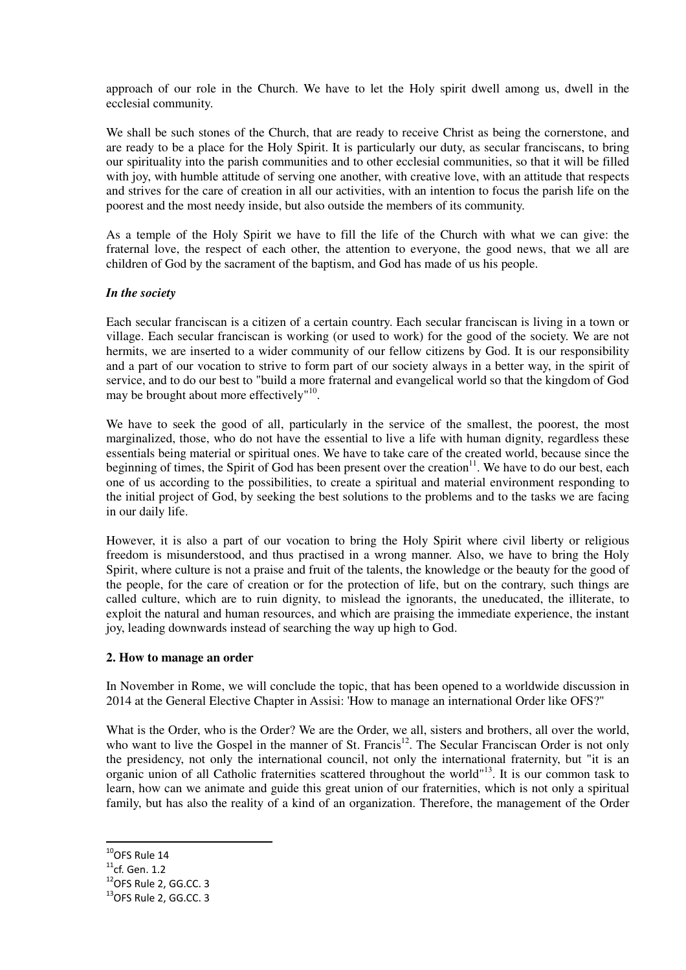approach of our role in the Church. We have to let the Holy spirit dwell among us, dwell in the ecclesial community.

We shall be such stones of the Church, that are ready to receive Christ as being the cornerstone, and are ready to be a place for the Holy Spirit. It is particularly our duty, as secular franciscans, to bring our spirituality into the parish communities and to other ecclesial communities, so that it will be filled with joy, with humble attitude of serving one another, with creative love, with an attitude that respects and strives for the care of creation in all our activities, with an intention to focus the parish life on the poorest and the most needy inside, but also outside the members of its community.

As a temple of the Holy Spirit we have to fill the life of the Church with what we can give: the fraternal love, the respect of each other, the attention to everyone, the good news, that we all are children of God by the sacrament of the baptism, and God has made of us his people.

#### *In the society*

Each secular franciscan is a citizen of a certain country. Each secular franciscan is living in a town or village. Each secular franciscan is working (or used to work) for the good of the society. We are not hermits, we are inserted to a wider community of our fellow citizens by God. It is our responsibility and a part of our vocation to strive to form part of our society always in a better way, in the spirit of service, and to do our best to "build a more fraternal and evangelical world so that the kingdom of God may be brought about more effectively"<sup>10</sup>.

We have to seek the good of all, particularly in the service of the smallest, the poorest, the most marginalized, those, who do not have the essential to live a life with human dignity, regardless these essentials being material or spiritual ones. We have to take care of the created world, because since the beginning of times, the Spirit of God has been present over the creation $11$ . We have to do our best, each one of us according to the possibilities, to create a spiritual and material environment responding to the initial project of God, by seeking the best solutions to the problems and to the tasks we are facing in our daily life.

However, it is also a part of our vocation to bring the Holy Spirit where civil liberty or religious freedom is misunderstood, and thus practised in a wrong manner. Also, we have to bring the Holy Spirit, where culture is not a praise and fruit of the talents, the knowledge or the beauty for the good of the people, for the care of creation or for the protection of life, but on the contrary, such things are called culture, which are to ruin dignity, to mislead the ignorants, the uneducated, the illiterate, to exploit the natural and human resources, and which are praising the immediate experience, the instant joy, leading downwards instead of searching the way up high to God.

#### **2. How to manage an order**

In November in Rome, we will conclude the topic, that has been opened to a worldwide discussion in 2014 at the General Elective Chapter in Assisi: 'How to manage an international Order like OFS?"

What is the Order, who is the Order? We are the Order, we all, sisters and brothers, all over the world, who want to live the Gospel in the manner of St. Francis<sup>12</sup>. The Secular Franciscan Order is not only the presidency, not only the international council, not only the international fraternity, but "it is an organic union of all Catholic fraternities scattered throughout the world"<sup>13</sup>. It is our common task to learn, how can we animate and guide this great union of our fraternities, which is not only a spiritual family, but has also the reality of a kind of an organization. Therefore, the management of the Order

 $\overline{\phantom{a}}$ 

 $10$ OFS Rule 14

 $11$ cf. Gen. 1.2

<sup>&</sup>lt;sup>12</sup>OFS Rule 2, GG.CC. 3

<sup>13</sup>OFS Rule 2, GG.CC. 3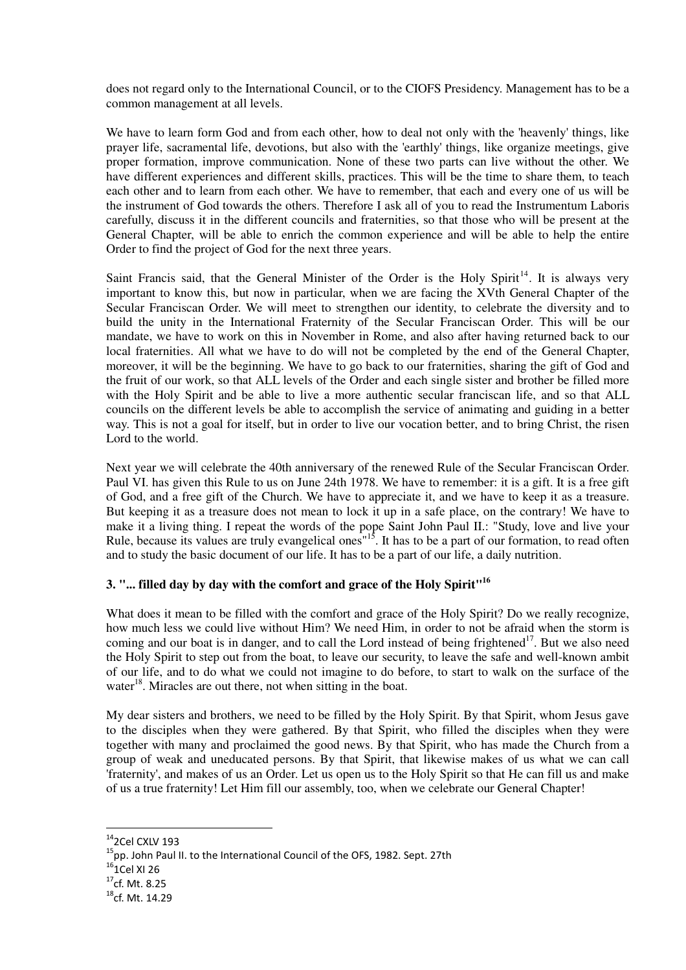does not regard only to the International Council, or to the CIOFS Presidency. Management has to be a common management at all levels.

We have to learn form God and from each other, how to deal not only with the 'heavenly' things, like prayer life, sacramental life, devotions, but also with the 'earthly' things, like organize meetings, give proper formation, improve communication. None of these two parts can live without the other. We have different experiences and different skills, practices. This will be the time to share them, to teach each other and to learn from each other. We have to remember, that each and every one of us will be the instrument of God towards the others. Therefore I ask all of you to read the Instrumentum Laboris carefully, discuss it in the different councils and fraternities, so that those who will be present at the General Chapter, will be able to enrich the common experience and will be able to help the entire Order to find the project of God for the next three years.

Saint Francis said, that the General Minister of the Order is the Holy Spirit<sup>14</sup>. It is always very important to know this, but now in particular, when we are facing the XVth General Chapter of the Secular Franciscan Order. We will meet to strengthen our identity, to celebrate the diversity and to build the unity in the International Fraternity of the Secular Franciscan Order. This will be our mandate, we have to work on this in November in Rome, and also after having returned back to our local fraternities. All what we have to do will not be completed by the end of the General Chapter, moreover, it will be the beginning. We have to go back to our fraternities, sharing the gift of God and the fruit of our work, so that ALL levels of the Order and each single sister and brother be filled more with the Holy Spirit and be able to live a more authentic secular franciscan life, and so that ALL councils on the different levels be able to accomplish the service of animating and guiding in a better way. This is not a goal for itself, but in order to live our vocation better, and to bring Christ, the risen Lord to the world.

Next year we will celebrate the 40th anniversary of the renewed Rule of the Secular Franciscan Order. Paul VI. has given this Rule to us on June 24th 1978. We have to remember: it is a gift. It is a free gift of God, and a free gift of the Church. We have to appreciate it, and we have to keep it as a treasure. But keeping it as a treasure does not mean to lock it up in a safe place, on the contrary! We have to make it a living thing. I repeat the words of the pope Saint John Paul II.: "Study, love and live your Rule, because its values are truly evangelical ones<sup>"15</sup>. It has to be a part of our formation, to read often and to study the basic document of our life. It has to be a part of our life, a daily nutrition.

# **3. "... filled day by day with the comfort and grace of the Holy Spirit"<sup>16</sup>**

What does it mean to be filled with the comfort and grace of the Holy Spirit? Do we really recognize, how much less we could live without Him? We need Him, in order to not be afraid when the storm is coming and our boat is in danger, and to call the Lord instead of being frightened<sup>17</sup>. But we also need the Holy Spirit to step out from the boat, to leave our security, to leave the safe and well-known ambit of our life, and to do what we could not imagine to do before, to start to walk on the surface of the water $18$ . Miracles are out there, not when sitting in the boat.

My dear sisters and brothers, we need to be filled by the Holy Spirit. By that Spirit, whom Jesus gave to the disciples when they were gathered. By that Spirit, who filled the disciples when they were together with many and proclaimed the good news. By that Spirit, who has made the Church from a group of weak and uneducated persons. By that Spirit, that likewise makes of us what we can call 'fraternity', and makes of us an Order. Let us open us to the Holy Spirit so that He can fill us and make of us a true fraternity! Let Him fill our assembly, too, when we celebrate our General Chapter!

l

<sup>14</sup>2Cel CXLV 193

<sup>15</sup>pp. John Paul II. to the International Council of the OFS, 1982. Sept. 27th

 $16$ <sub>1</sub>Cel XI 26

 $17$ cf. Mt. 8.25

<sup>&</sup>lt;sup>18</sup>cf. Mt. 14.29